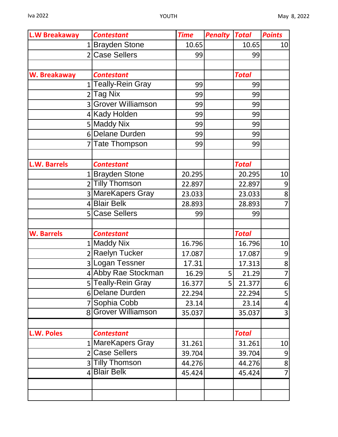| <b>L.W Breakaway</b> | <b>Contestant</b>   | <b>Time</b> | <b>Penalty</b> | <b>Total</b> | <b>Points</b>  |
|----------------------|---------------------|-------------|----------------|--------------|----------------|
|                      | 1 Brayden Stone     | 10.65       |                | 10.65        | 10             |
|                      | 2 Case Sellers      | 99          |                | 99           |                |
|                      |                     |             |                |              |                |
| W. Breakaway         | <b>Contestant</b>   |             |                | <b>Total</b> |                |
|                      | 1 Teally-Rein Gray  | 99          |                | 99           |                |
|                      | 2 Tag Nix           | 99          |                | 99           |                |
|                      | 3 Grover Williamson | 99          |                | 99           |                |
|                      | 4 Kady Holden       | 99          |                | 99           |                |
|                      | 5 Maddy Nix         | 99          |                | 99           |                |
|                      | 6 Delane Durden     | 99          |                | 99           |                |
|                      | 7Tate Thompson      | 99          |                | 99           |                |
|                      |                     |             |                |              |                |
| <b>L.W. Barrels</b>  | <b>Contestant</b>   |             |                | <b>Total</b> |                |
|                      | 1 Brayden Stone     | 20.295      |                | 20.295       | 10             |
|                      | 2 Tilly Thomson     | 22.897      |                | 22.897       | 9              |
|                      | 3 MareKapers Gray   | 23.033      |                | 23.033       | 8              |
|                      | 4 Blair Belk        | 28.893      |                | 28.893       | $\overline{7}$ |
|                      | 5 Case Sellers      | 99          |                | 99           |                |
|                      |                     |             |                |              |                |
| <b>W. Barrels</b>    | <b>Contestant</b>   |             |                | <b>Total</b> |                |
|                      | 1 Maddy Nix         | 16.796      |                | 16.796       | 10             |
|                      | 2 Raelyn Tucker     | 17.087      |                | 17.087       | 9              |
|                      | 3Logan Tessner      | 17.31       |                | 17.313       | $\mathbf{8}$   |
|                      | 4 Abby Rae Stockman | 16.29       | 5 <sup>1</sup> | 21.29        | $\overline{7}$ |
|                      | 5 Teally-Rein Gray  | 16.377      | 5              | 21.377       | $6 \mid$       |
|                      | 6 Delane Durden     | 22.294      |                | 22.294       | 5              |
|                      | 7 Sophia Cobb       | 23.14       |                | 23.14        | 4              |
|                      | 8 Grover Williamson | 35.037      |                | 35.037       | 3              |
|                      |                     |             |                |              |                |
| L.W. Poles           | <b>Contestant</b>   |             |                | <b>Total</b> |                |
|                      | 1 MareKapers Gray   | 31.261      |                | 31.261       | 10             |
|                      | 2 Case Sellers      | 39.704      |                | 39.704       | 9              |
|                      | 3 Tilly Thomson     | 44.276      |                | 44.276       | 8              |
|                      | 4 Blair Belk        | 45.424      |                | 45.424       | $\overline{7}$ |
|                      |                     |             |                |              |                |
|                      |                     |             |                |              |                |
|                      |                     |             |                |              |                |